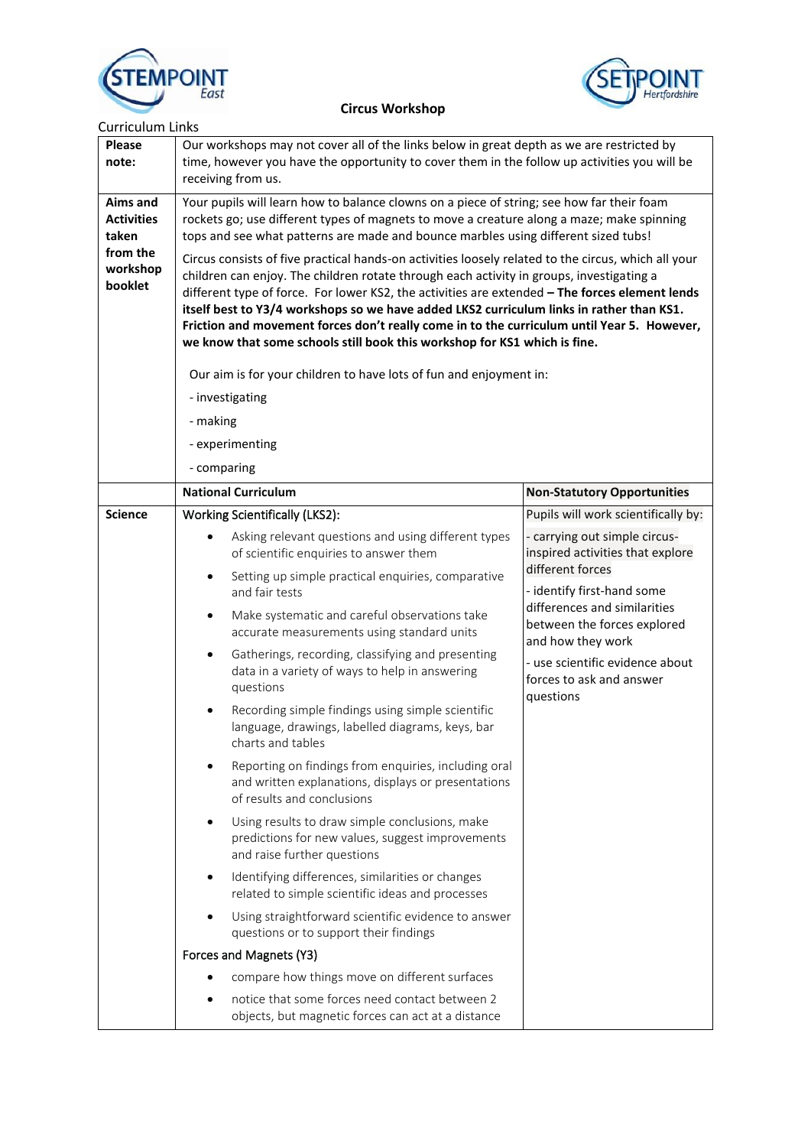



| <b>Curriculum Links</b>                                                          |                                                                                                                                                                                                                                                                                                                                                                                                                                                                                                                                                                                                                                                                                                                                                                                                                                                                                                                                                                                  |                                                                                                                                                                                                                                                                                                                            |  |
|----------------------------------------------------------------------------------|----------------------------------------------------------------------------------------------------------------------------------------------------------------------------------------------------------------------------------------------------------------------------------------------------------------------------------------------------------------------------------------------------------------------------------------------------------------------------------------------------------------------------------------------------------------------------------------------------------------------------------------------------------------------------------------------------------------------------------------------------------------------------------------------------------------------------------------------------------------------------------------------------------------------------------------------------------------------------------|----------------------------------------------------------------------------------------------------------------------------------------------------------------------------------------------------------------------------------------------------------------------------------------------------------------------------|--|
| <b>Please</b><br>note:                                                           | Our workshops may not cover all of the links below in great depth as we are restricted by<br>time, however you have the opportunity to cover them in the follow up activities you will be<br>receiving from us.                                                                                                                                                                                                                                                                                                                                                                                                                                                                                                                                                                                                                                                                                                                                                                  |                                                                                                                                                                                                                                                                                                                            |  |
| <b>Aims and</b><br><b>Activities</b><br>taken<br>from the<br>workshop<br>booklet | Your pupils will learn how to balance clowns on a piece of string; see how far their foam<br>rockets go; use different types of magnets to move a creature along a maze; make spinning<br>tops and see what patterns are made and bounce marbles using different sized tubs!<br>Circus consists of five practical hands-on activities loosely related to the circus, which all your<br>children can enjoy. The children rotate through each activity in groups, investigating a<br>different type of force. For lower KS2, the activities are extended - The forces element lends<br>itself best to Y3/4 workshops so we have added LKS2 curriculum links in rather than KS1.<br>Friction and movement forces don't really come in to the curriculum until Year 5. However,<br>we know that some schools still book this workshop for KS1 which is fine.<br>Our aim is for your children to have lots of fun and enjoyment in:<br>- investigating<br>- making<br>- experimenting |                                                                                                                                                                                                                                                                                                                            |  |
|                                                                                  |                                                                                                                                                                                                                                                                                                                                                                                                                                                                                                                                                                                                                                                                                                                                                                                                                                                                                                                                                                                  |                                                                                                                                                                                                                                                                                                                            |  |
|                                                                                  | - comparing<br><b>National Curriculum</b>                                                                                                                                                                                                                                                                                                                                                                                                                                                                                                                                                                                                                                                                                                                                                                                                                                                                                                                                        |                                                                                                                                                                                                                                                                                                                            |  |
|                                                                                  |                                                                                                                                                                                                                                                                                                                                                                                                                                                                                                                                                                                                                                                                                                                                                                                                                                                                                                                                                                                  | <b>Non-Statutory Opportunities</b>                                                                                                                                                                                                                                                                                         |  |
| <b>Science</b>                                                                   | <b>Working Scientifically (LKS2):</b><br>Asking relevant questions and using different types<br>$\bullet$<br>of scientific enquiries to answer them                                                                                                                                                                                                                                                                                                                                                                                                                                                                                                                                                                                                                                                                                                                                                                                                                              | Pupils will work scientifically by:<br>- carrying out simple circus-<br>inspired activities that explore<br>different forces<br>- identify first-hand some<br>differences and similarities<br>between the forces explored<br>and how they work<br>- use scientific evidence about<br>forces to ask and answer<br>questions |  |
|                                                                                  | Setting up simple practical enquiries, comparative<br>and fair tests                                                                                                                                                                                                                                                                                                                                                                                                                                                                                                                                                                                                                                                                                                                                                                                                                                                                                                             |                                                                                                                                                                                                                                                                                                                            |  |
|                                                                                  | Make systematic and careful observations take<br>$\bullet$<br>accurate measurements using standard units                                                                                                                                                                                                                                                                                                                                                                                                                                                                                                                                                                                                                                                                                                                                                                                                                                                                         |                                                                                                                                                                                                                                                                                                                            |  |
|                                                                                  | Gatherings, recording, classifying and presenting<br>$\bullet$<br>data in a variety of ways to help in answering<br>questions                                                                                                                                                                                                                                                                                                                                                                                                                                                                                                                                                                                                                                                                                                                                                                                                                                                    |                                                                                                                                                                                                                                                                                                                            |  |
|                                                                                  | Recording simple findings using simple scientific<br>٠<br>language, drawings, labelled diagrams, keys, bar<br>charts and tables                                                                                                                                                                                                                                                                                                                                                                                                                                                                                                                                                                                                                                                                                                                                                                                                                                                  |                                                                                                                                                                                                                                                                                                                            |  |
|                                                                                  | Reporting on findings from enquiries, including oral<br>and written explanations, displays or presentations<br>of results and conclusions                                                                                                                                                                                                                                                                                                                                                                                                                                                                                                                                                                                                                                                                                                                                                                                                                                        |                                                                                                                                                                                                                                                                                                                            |  |
|                                                                                  | Using results to draw simple conclusions, make<br>predictions for new values, suggest improvements<br>and raise further questions                                                                                                                                                                                                                                                                                                                                                                                                                                                                                                                                                                                                                                                                                                                                                                                                                                                |                                                                                                                                                                                                                                                                                                                            |  |
|                                                                                  | Identifying differences, similarities or changes<br>$\bullet$<br>related to simple scientific ideas and processes                                                                                                                                                                                                                                                                                                                                                                                                                                                                                                                                                                                                                                                                                                                                                                                                                                                                |                                                                                                                                                                                                                                                                                                                            |  |
|                                                                                  | Using straightforward scientific evidence to answer<br>questions or to support their findings                                                                                                                                                                                                                                                                                                                                                                                                                                                                                                                                                                                                                                                                                                                                                                                                                                                                                    |                                                                                                                                                                                                                                                                                                                            |  |
|                                                                                  | Forces and Magnets (Y3)                                                                                                                                                                                                                                                                                                                                                                                                                                                                                                                                                                                                                                                                                                                                                                                                                                                                                                                                                          |                                                                                                                                                                                                                                                                                                                            |  |
|                                                                                  | compare how things move on different surfaces                                                                                                                                                                                                                                                                                                                                                                                                                                                                                                                                                                                                                                                                                                                                                                                                                                                                                                                                    |                                                                                                                                                                                                                                                                                                                            |  |
|                                                                                  | notice that some forces need contact between 2<br>objects, but magnetic forces can act at a distance                                                                                                                                                                                                                                                                                                                                                                                                                                                                                                                                                                                                                                                                                                                                                                                                                                                                             |                                                                                                                                                                                                                                                                                                                            |  |